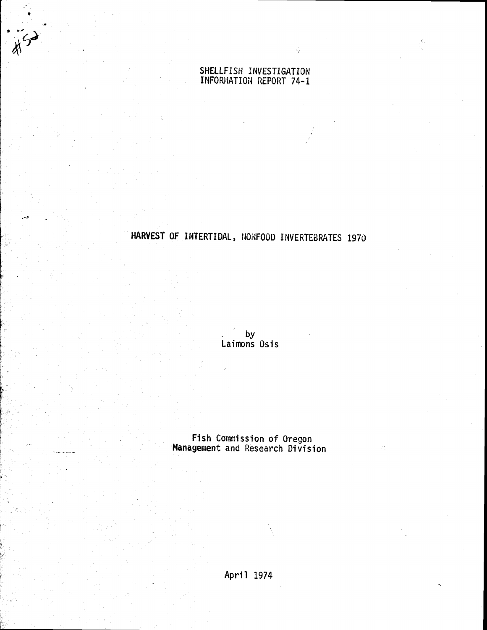## SHELLFISH INVESTIGATION INFORMATION REPORT 74-1

 $\bar{\Omega}$ 

•

HARVEST Of INTERTIDAL, NONFOOD INVERTEBRATES 1970

. by Laimons Osis

Fish Commission of Oregon Management and Research Division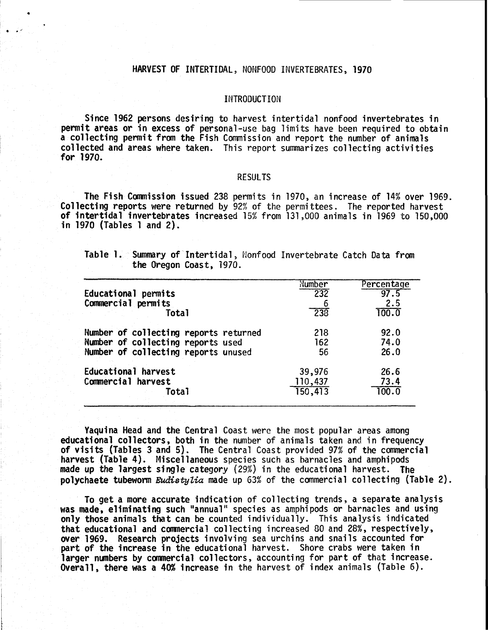## HARVEST OF INTERTIDAL, NONFOOD INVERTEBRATES, 1970

•

. . '

## INTRODUCTION

Since 1962 persons desiring to harvest intertidal nonfood invertebrates in permit areas or in excess of personal-use bag limits have been required to obtain a collecting permit from the Fish Commission and report the number of animals collected and areas where taken. This report summarizes collecting activities for 1970.

## RESULTS

The Fish Commission issued 238 permits in 1970, an increase of 14% over 1969. Collecting reports were returned by 92% of the permittees. The reported harvest of intertidal invertebrates increased 15% from 131,000 animals in 1969 to 150,000 in 1970 (Tables 1 and 2).

Table 1. Summary of Intertidal, Nonfood Invertebrate Catch Data from the Oregon Coast, 1970.

|                                       | Number  | Percentage |
|---------------------------------------|---------|------------|
| Educational permits                   | 232     | 97.5       |
| Commercial permits                    |         | 2.5        |
| <b>Total</b>                          | 238     | 100.0      |
| Number of collecting reports returned | 218     | 92.0       |
| Number of collecting reports used     | 162     | 74.0       |
| Number of collecting reports unused   | 56      | 26.0       |
| Educational harvest                   | 39,976  | 26.6       |
| Commercial harvest                    | 110,437 | 73.4       |
| Total                                 | 150,413 | 100.0      |
|                                       |         |            |

Yaquina Head and the Central Coast were the most popular areas among educational collectors, both in the number of animals taken and in frequency of visits (Tables 3 and 5). The Central Coast provided 97% of the commercial harvest (Table 4). Miscellaneous species such as barnacles and amphipods made up the largest single category (29%) in the educational harvest. The polychaete tubeworm *Eudistylia* made up 63% of the commercial collecting (Table 2).

To get a more accurate indication of collecting trends, a separate analysis was made, eliminating such "annual" species as amphipods or barnacles and using only those animals that can be counted individually. This analysis indicated that educational and commercial collecting increased 80 and 28%, respectively, over 1969. Research projects involving sea urchins and snails accounted for part of the increase in the educational harvest. Shore crabs were taken in larger numbers by commercial collectors, accounting for part of that increase. Overall, there was a 40% increase in the harvest of index animals (Table 6).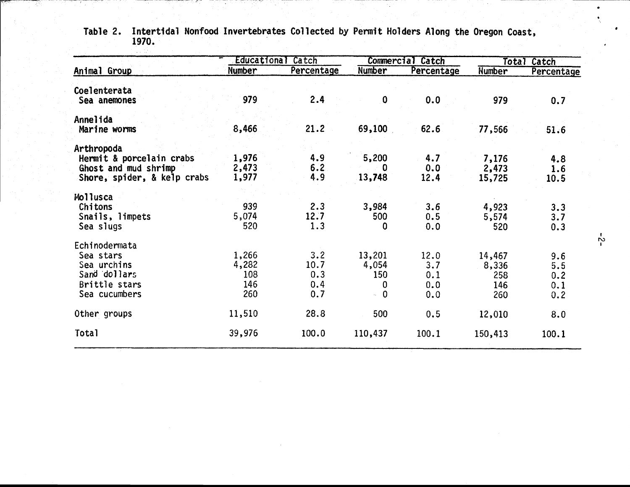|                                                                                               | Educational                         | Catch                            | <b>Commercial</b>                       | Catch                            | <b>Total</b><br>Catch                |                                 |  |
|-----------------------------------------------------------------------------------------------|-------------------------------------|----------------------------------|-----------------------------------------|----------------------------------|--------------------------------------|---------------------------------|--|
| Animal Group                                                                                  | Number                              | Percentage                       | <b>Number</b>                           | Percentage                       | Number                               | Percentage                      |  |
| Coelenterata<br>Sea anemones                                                                  | 979                                 | 2.4                              | $\bf{0}$                                | 0.0                              | 979                                  | 0.7                             |  |
| Annelida<br>Marine worms                                                                      | 8,466                               | 21.2                             | 69,100                                  | 62.6                             | 77,566                               | 51.6                            |  |
| Arthropoda<br>Hermit & porcelain crabs<br>Ghost and mud shrimp<br>Shore, spider, & kelp crabs | 1,976<br>2,473<br>1,977             | 4.9<br>6.2<br>4.9                | 5,200<br>0<br>13,748                    | 4.7<br>0.0<br>12.4               | 7,176<br>2,473<br>15,725             | 4.8<br>1.6<br>10.5              |  |
| <b>Mollusca</b><br>Chitons<br>Snails, limpets<br>Sea slugs                                    | 939<br>5,074<br>520                 | 2.3<br>12.7<br>1.3               | 3,984<br>500<br>0                       | 3.6<br>0.5<br>0.0                | 4,923<br>5,574<br>520                | 3.3<br>3.7<br>0.3               |  |
| Echinodermata<br>Sea stars<br>Sea urchins<br>Sand dollars<br>Brittle stars<br>Sea cucumbers   | 1,266<br>4,282<br>108<br>146<br>260 | 3.2<br>10.7<br>0.3<br>0.4<br>0.7 | 13,201<br>4,054<br>150<br>0<br>$\sim 0$ | 12.0<br>3.7<br>0.1<br>0.0<br>0.0 | 14,467<br>8,336<br>258<br>146<br>260 | 9.6<br>5.5<br>0.2<br>0.1<br>0.2 |  |
| Other groups                                                                                  | 11,510                              | 28.8                             | 500                                     | 0.5                              | 12,010                               | 8.0                             |  |
| Total                                                                                         | 39,976                              | 100.0                            | 110,437                                 | 100.1                            | 150,413                              | 100.1                           |  |

Table 2. Intertidal Nonfood Invertebrates Collected by Permit Holders Along the Oregon Coast, 1970.

. . . . . . .<br>. . . . <del>.</del> . .

 $\frac{1}{2}$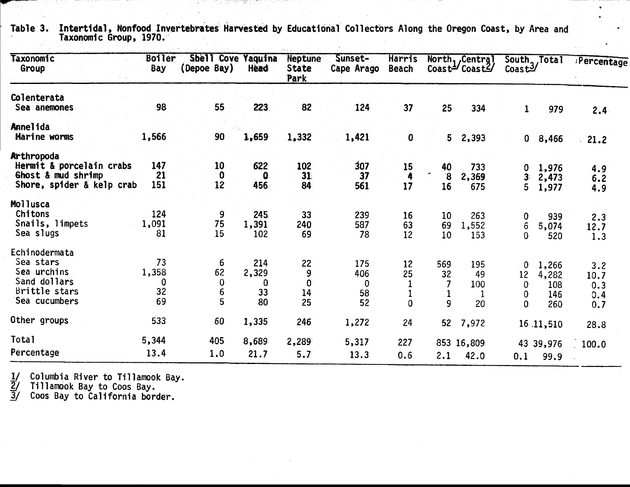| Taxonomic<br>Group                                                                          | <b>Boiler</b><br>Bay                   | Shell Cove Yaquina<br>(Depoe Bay) | <b>Head</b>                   | <b>Neptune</b><br><b>State</b><br>Park | Sunset-<br>Cape Arago       | Harris<br><b>Beach</b>     |                                   | North, Central<br>Coast= $\sqrt{2}$ Coast $\frac{2}{\sqrt{2}}$ | $\text{Coast}2$                              | South, Total                        | Percentage                       |
|---------------------------------------------------------------------------------------------|----------------------------------------|-----------------------------------|-------------------------------|----------------------------------------|-----------------------------|----------------------------|-----------------------------------|----------------------------------------------------------------|----------------------------------------------|-------------------------------------|----------------------------------|
| Colenterata<br>Sea anemones                                                                 | 98                                     | 55                                | 223                           | 82                                     | 124                         | 37                         | 25                                | 334                                                            | $\mathbf{1}$                                 | 979                                 | 2.4                              |
| <b>Annelida</b><br>Marine worms                                                             | 1,566                                  | 90                                | 1,659                         | 1,332                                  | 1,421                       | $\bf{0}$                   | 5 <sub>1</sub>                    | 2,393                                                          | 0.                                           | 8,466                               | 21.2                             |
| Arthropoda<br>Hermit & porcelain crabs<br>Ghost & mud shrimp<br>Shore, spider & kelp crab   | 147<br>21<br>151                       | 10 <sub>1</sub><br>$\bf{0}$<br>12 | 622<br>$\mathbf{0}$<br>456    | 102<br>31.<br>84                       | 307<br>37<br>561            | 15<br>4<br>17              | 40<br>۰<br>$\boldsymbol{8}$<br>16 | 733<br>2,369<br>675                                            | $\mathbf{0}$<br>$\mathbf{3}$<br>5            | 1,976<br>2,473<br>1,977             | 4.9<br>6.2<br>4.9                |
| <b>Mollusca</b><br>Chitons<br>Snails, limpets<br>Sea slugs                                  | 124<br>1,091<br>81                     | 9<br>75<br>15                     | 245<br>1,391<br>102           | 33 <sup>°</sup><br>240<br>69           | 239<br>587<br>78            | 16<br>63<br>12             | 10<br>69<br>10                    | 263<br>1,552<br>153                                            | 0<br>$6\phantom{.}$<br>$\mathbf 0$           | 939<br>5,074<br>520                 | 2.3<br>12.7<br>1.3               |
| Echinodermata<br>Sea stars<br>Sea urchins<br>Sand dollars<br>Brittle stars<br>Sea cucumbers | 73<br>1,358<br>$\mathbf 0$<br>32<br>69 | 6<br>62<br>0<br>6<br>5            | 214<br>2,329<br>0<br>33<br>80 | 22<br>9<br>$\overline{0}$<br>14<br>25  | 175<br>406<br>0<br>58<br>52 | 12<br>25<br>$\overline{0}$ | 569<br>32<br>9                    | 195<br>49<br>100<br>1<br>20                                    | $\mathbf{0}$<br>12<br>0<br>0<br>$\mathbf{0}$ | 1,266<br>4,282<br>108<br>146<br>260 | 3.2<br>10.7<br>0.3<br>0.4<br>0.7 |
| Other groups                                                                                | 533                                    | 60                                | 1,335                         | 246                                    | 1,272                       | 24                         | 52                                | 7,972                                                          |                                              | 16.11,510                           | 28.8                             |
| Total<br>Percentage                                                                         | 5,344<br>13.4                          | 405<br>1.0                        | 8,689<br>21.7                 | 2,289<br>5.7                           | 5,317<br>13.3               | 227<br>0.6                 | 2.1                               | 853 16,809<br>42.0                                             | 0.1                                          | 43 39,976<br>99.9                   | 100.0                            |

Table 3. Intertidal, Nonfood Invertebrates Harvested by Educational Collectors Along the Oregon Coast, by Area and Taxonomic Group, 1970.· il.<br>Sedan

1일 19일 12월 72월 및 관객인 지금 소설 역시

1/ Columbia River to Tillamook Bay.<br>  $\frac{\overline{2}}{3}$  Tillamook Bay to Coos Bay.<br>  $\frac{3}{3}$  Coos Bay to California border.

and a later work

the contract of the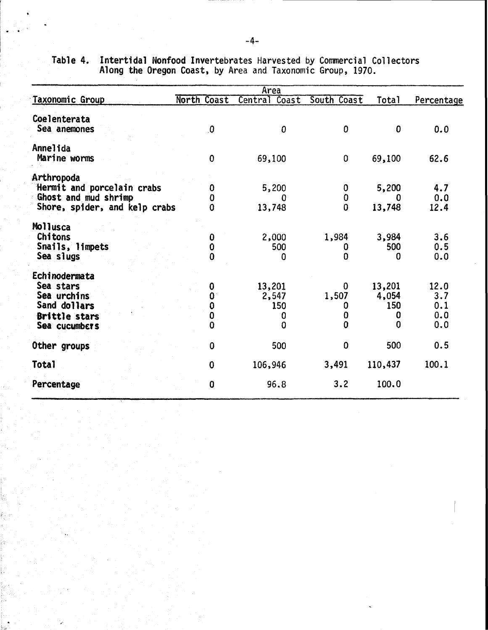|                                                                                                    |                       | Area                             |                                      |                                  |                                  |
|----------------------------------------------------------------------------------------------------|-----------------------|----------------------------------|--------------------------------------|----------------------------------|----------------------------------|
| Taxonomic Group                                                                                    | North Coast           | Central Coast                    | South Coast                          | <b>Total</b>                     | Percentage                       |
| Coelenterata<br>Sea anemones                                                                       | $\mathbf{0}$          | $\mathbf{0}$                     | 0                                    | $\mathbf{0}$                     | 0.0                              |
| Annelida<br>Marine worms                                                                           | $\mathbf 0$           | 69,100                           | 0                                    | 69,100                           | 62.6                             |
| Arthropoda<br>Hermit and porcelain crabs<br>Ghost and mud shrimp<br>Shore, spider, and kelp crabs  | 0<br>O<br>Λ           | 5,200<br>O<br>13,748             | 0<br>0<br>0                          | 5,200<br>0<br>13,748             | 4.7<br>0.0<br>12.4               |
| Mollusca<br><b>Chitons</b><br>Snails, limpets<br>Sea slugs                                         | 0<br>0<br>0           | 2,000<br>500<br>0                | 1,984<br>0<br>0                      | 3,984<br>500<br>0                | 3.6<br>0.5<br>0.0                |
| Echinodermata<br>Sea stars<br>Sea urchins<br>Sand dollars<br><b>Brittle stars</b><br>Sea cucumbers | 0<br>0<br>Ω<br>0<br>0 | 13,201<br>2,547<br>150<br>0<br>0 | 0<br>1,507<br>0<br>0<br>$\mathbf{0}$ | 13,201<br>4,054<br>150<br>0<br>0 | 12.0<br>3.7<br>0.1<br>0.0<br>0.0 |
| Other groups                                                                                       | $\mathbf{0}$          | 500                              | $\bf{0}$                             | 500                              | 0.5                              |
| Total                                                                                              | 0                     | 106,946                          | 3,491                                | 110,437                          | 100.1                            |
| Percentage                                                                                         | $\bf{0}$              | 96.8                             | 3.2                                  | 100.0                            |                                  |

Table 4. Intertidal Nonfood Invertebrates Harvested by Commercial Collectors Along the Oregon Coast, by Area and Taxonomic Group, 1970.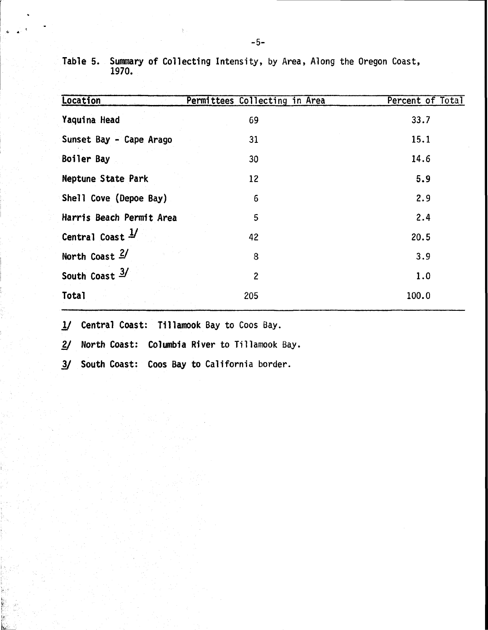| Location                    | Permittees Collecting in Area | Percent of Total |
|-----------------------------|-------------------------------|------------------|
| Yaquina Head                | 69                            | 33.7             |
| Sunset Bay - Cape Arago     | 31                            | 15.1             |
| Boiler Bay                  | 30                            | 14.6             |
| Neptune State Park          | 12                            | 5.9              |
| Shell Cove (Depoe Bay)      | $6\phantom{.}6$               | 2.9              |
| Harris Beach Permit Area    | 5                             | 2.4              |
| Central Coast $\frac{1}{2}$ | 42                            | 20.5             |
| North Coast $2/$            | 8                             | 3.9              |
| South Coast $3/$            | $\overline{c}$                | 1.0              |
| Total                       | 205                           | 100.0            |

Table 5. Summary of Collecting Intensity, by Area, Along the Oregon Coast, 1970.

1/ Central Coast: Tillamook Bay to Coos Bay.

2/ North Coast: Columbia River to Tillamook Bay.

*]V* South Coast: Coos Bay to California border.